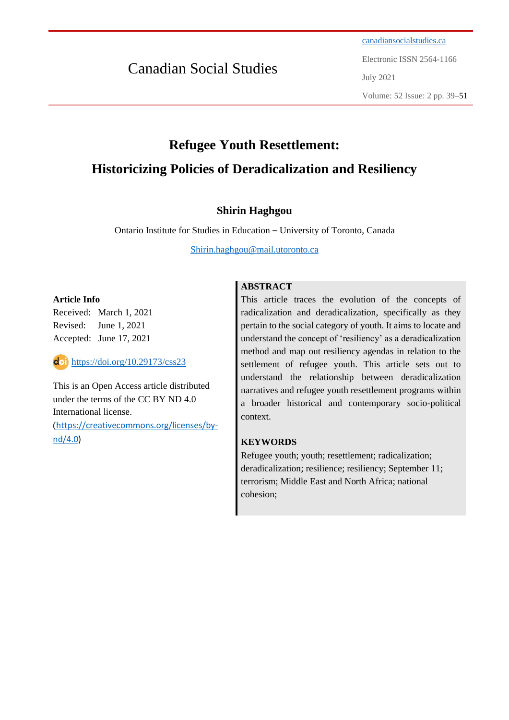# **Refugee Youth Resettlement: Historicizing Policies of Deradicalization and Resiliency**

# **Shirin Haghgou**

Ontario Institute for Studies in Education – University of Toronto, Canada

[Shirin.haghgou@mail.utoronto.ca](mailto:Shirin.haghgou@mail.utoronto.ca)

**ABSTRACT**

# **Article Info**

Received: March 1, 2021 Revised: June 1, 2021 Accepted: June 17, 2021

<https://doi.org/10.29173/css23>

This is an Open Access article distributed under the terms of the CC BY ND 4.0 International license.

([https://creativecommons.org/licenses/by](https://creativecommons.org/licenses/by-nd/4.0)[nd/4.0\)](https://creativecommons.org/licenses/by-nd/4.0)

This article traces the evolution of the concepts of radicalization and deradicalization, specifically as they pertain to the social category of youth. It aims to locate and understand the concept of 'resiliency' as a deradicalization method and map out resiliency agendas in relation to the settlement of refugee youth. This article sets out to understand the relationship between deradicalization narratives and refugee youth resettlement programs within a broader historical and contemporary socio-political context.

# **KEYWORDS**

Refugee youth; youth; resettlement; radicalization; deradicalization; resilience; resiliency; September 11; terrorism; Middle East and North Africa; national cohesion;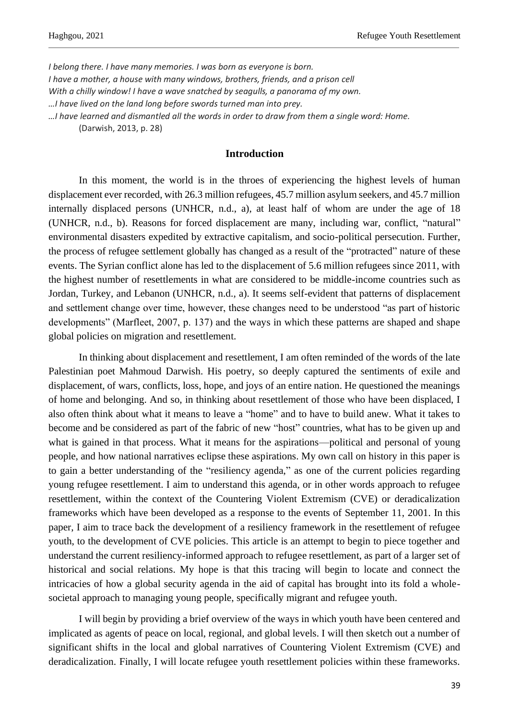*I belong there. I have many memories. I was born as everyone is born. I have a mother, a house with many windows, brothers, friends, and a prison cell With a chilly window! I have a wave snatched by seagulls, a panorama of my own. …I have lived on the land long before swords turned man into prey. …I have learned and dismantled all the words in order to draw from them a single word: Home.* (Darwish, 2013, p. 28)

#### **Introduction**

In this moment, the world is in the throes of experiencing the highest levels of human displacement ever recorded, with 26.3 million refugees, 45.7 million asylum seekers, and 45.7 million internally displaced persons (UNHCR, n.d., a), at least half of whom are under the age of 18 (UNHCR, n.d., b). Reasons for forced displacement are many, including war, conflict, "natural" environmental disasters expedited by extractive capitalism, and socio-political persecution. Further, the process of refugee settlement globally has changed as a result of the "protracted" nature of these events. The Syrian conflict alone has led to the displacement of 5.6 million refugees since 2011, with the highest number of resettlements in what are considered to be middle-income countries such as Jordan, Turkey, and Lebanon (UNHCR, n.d., a). It seems self-evident that patterns of displacement and settlement change over time, however, these changes need to be understood "as part of historic developments" (Marfleet, 2007, p. 137) and the ways in which these patterns are shaped and shape global policies on migration and resettlement.

In thinking about displacement and resettlement, I am often reminded of the words of the late Palestinian poet Mahmoud Darwish. His poetry, so deeply captured the sentiments of exile and displacement, of wars, conflicts, loss, hope, and joys of an entire nation. He questioned the meanings of home and belonging. And so, in thinking about resettlement of those who have been displaced, I also often think about what it means to leave a "home" and to have to build anew. What it takes to become and be considered as part of the fabric of new "host" countries, what has to be given up and what is gained in that process. What it means for the aspirations—political and personal of young people, and how national narratives eclipse these aspirations. My own call on history in this paper is to gain a better understanding of the "resiliency agenda," as one of the current policies regarding young refugee resettlement. I aim to understand this agenda, or in other words approach to refugee resettlement, within the context of the Countering Violent Extremism (CVE) or deradicalization frameworks which have been developed as a response to the events of September 11, 2001. In this paper, I aim to trace back the development of a resiliency framework in the resettlement of refugee youth, to the development of CVE policies. This article is an attempt to begin to piece together and understand the current resiliency-informed approach to refugee resettlement, as part of a larger set of historical and social relations. My hope is that this tracing will begin to locate and connect the intricacies of how a global security agenda in the aid of capital has brought into its fold a wholesocietal approach to managing young people, specifically migrant and refugee youth.

I will begin by providing a brief overview of the ways in which youth have been centered and implicated as agents of peace on local, regional, and global levels. I will then sketch out a number of significant shifts in the local and global narratives of Countering Violent Extremism (CVE) and deradicalization. Finally, I will locate refugee youth resettlement policies within these frameworks.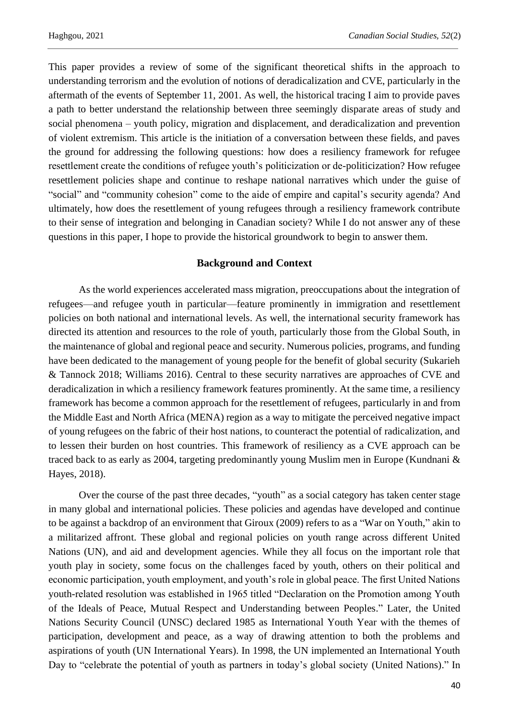This paper provides a review of some of the significant theoretical shifts in the approach to understanding terrorism and the evolution of notions of deradicalization and CVE, particularly in the aftermath of the events of September 11, 2001. As well, the historical tracing I aim to provide paves a path to better understand the relationship between three seemingly disparate areas of study and social phenomena – youth policy, migration and displacement, and deradicalization and prevention of violent extremism. This article is the initiation of a conversation between these fields, and paves the ground for addressing the following questions: how does a resiliency framework for refugee resettlement create the conditions of refugee youth's politicization or de-politicization? How refugee resettlement policies shape and continue to reshape national narratives which under the guise of "social" and "community cohesion" come to the aide of empire and capital's security agenda? And ultimately, how does the resettlement of young refugees through a resiliency framework contribute to their sense of integration and belonging in Canadian society? While I do not answer any of these questions in this paper, I hope to provide the historical groundwork to begin to answer them.

#### **Background and Context**

As the world experiences accelerated mass migration, preoccupations about the integration of refugees—and refugee youth in particular—feature prominently in immigration and resettlement policies on both national and international levels. As well, the international security framework has directed its attention and resources to the role of youth, particularly those from the Global South, in the maintenance of global and regional peace and security. Numerous policies, programs, and funding have been dedicated to the management of young people for the benefit of global security (Sukarieh & Tannock 2018; Williams 2016). Central to these security narratives are approaches of CVE and deradicalization in which a resiliency framework features prominently. At the same time, a resiliency framework has become a common approach for the resettlement of refugees, particularly in and from the Middle East and North Africa (MENA) region as a way to mitigate the perceived negative impact of young refugees on the fabric of their host nations, to counteract the potential of radicalization, and to lessen their burden on host countries. This framework of resiliency as a CVE approach can be traced back to as early as 2004, targeting predominantly young Muslim men in Europe (Kundnani & Hayes, 2018).

Over the course of the past three decades, "youth" as a social category has taken center stage in many global and international policies. These policies and agendas have developed and continue to be against a backdrop of an environment that Giroux (2009) refers to as a "War on Youth," akin to a militarized affront. These global and regional policies on youth range across different United Nations (UN), and aid and development agencies. While they all focus on the important role that youth play in society, some focus on the challenges faced by youth, others on their political and economic participation, youth employment, and youth's role in global peace. The first United Nations youth-related resolution was established in 1965 titled "Declaration on the Promotion among Youth of the Ideals of Peace, Mutual Respect and Understanding between Peoples." Later, the United Nations Security Council (UNSC) declared 1985 as International Youth Year with the themes of participation, development and peace, as a way of drawing attention to both the problems and aspirations of youth (UN International Years). In 1998, the UN implemented an International Youth Day to "celebrate the potential of youth as partners in today's global society (United Nations)." In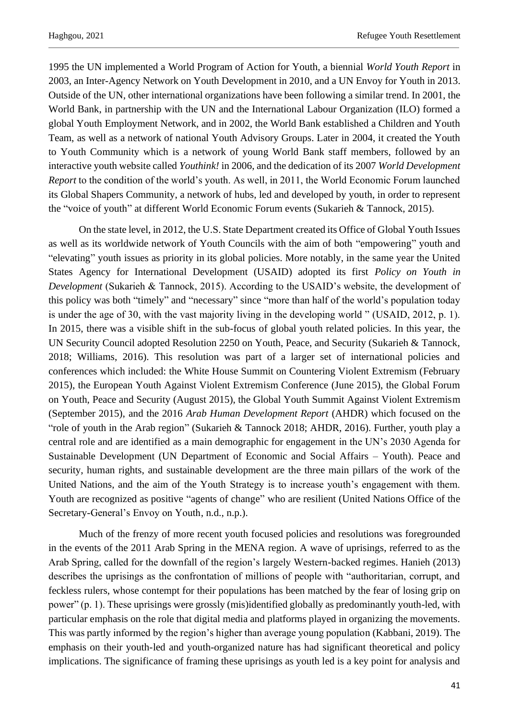1995 the UN implemented a World Program of Action for Youth, a biennial *World Youth Report* in 2003, an Inter-Agency Network on Youth Development in 2010, and a UN Envoy for Youth in 2013. Outside of the UN, other international organizations have been following a similar trend. In 2001, the World Bank, in partnership with the UN and the International Labour Organization (ILO) formed a global Youth Employment Network, and in 2002, the World Bank established a Children and Youth Team, as well as a network of national Youth Advisory Groups. Later in 2004, it created the Youth to Youth Community which is a network of young World Bank staff members, followed by an interactive youth website called *Youthink!* in 2006, and the dedication of its 2007 *World Development Report* to the condition of the world's youth. As well, in 2011, the World Economic Forum launched its Global Shapers Community, a network of hubs, led and developed by youth, in order to represent the "voice of youth" at different World Economic Forum events (Sukarieh & Tannock, 2015).

On the state level, in 2012, the U.S. State Department created its Office of Global Youth Issues as well as its worldwide network of Youth Councils with the aim of both "empowering" youth and "elevating" youth issues as priority in its global policies. More notably, in the same year the United States Agency for International Development (USAID) adopted its first *Policy on Youth in Development* (Sukarieh & Tannock, 2015). According to the USAID's website, the development of this policy was both "timely" and "necessary" since "more than half of the world's population today is under the age of 30, with the vast majority living in the developing world " (USAID, 2012, p. 1). In 2015, there was a visible shift in the sub-focus of global youth related policies. In this year, the UN Security Council adopted Resolution 2250 on Youth, Peace, and Security (Sukarieh & Tannock, 2018; Williams, 2016). This resolution was part of a larger set of international policies and conferences which included: the White House Summit on Countering Violent Extremism (February 2015), the European Youth Against Violent Extremism Conference (June 2015), the Global Forum on Youth, Peace and Security (August 2015), the Global Youth Summit Against Violent Extremism (September 2015), and the 2016 *Arab Human Development Report* (AHDR) which focused on the "role of youth in the Arab region" (Sukarieh & Tannock 2018; AHDR, 2016). Further, youth play a central role and are identified as a main demographic for engagement in the UN's 2030 Agenda for Sustainable Development (UN Department of Economic and Social Affairs – Youth). Peace and security, human rights, and sustainable development are the three main pillars of the work of the United Nations, and the aim of the Youth Strategy is to increase youth's engagement with them. Youth are recognized as positive "agents of change" who are resilient (United Nations Office of the Secretary-General's Envoy on Youth, n.d., n.p.).

Much of the frenzy of more recent youth focused policies and resolutions was foregrounded in the events of the 2011 Arab Spring in the MENA region. A wave of uprisings, referred to as the Arab Spring, called for the downfall of the region's largely Western-backed regimes. Hanieh (2013) describes the uprisings as the confrontation of millions of people with "authoritarian, corrupt, and feckless rulers, whose contempt for their populations has been matched by the fear of losing grip on power" (p. 1). These uprisings were grossly (mis)identified globally as predominantly youth-led, with particular emphasis on the role that digital media and platforms played in organizing the movements. This was partly informed by the region's higher than average young population (Kabbani, 2019). The emphasis on their youth-led and youth-organized nature has had significant theoretical and policy implications. The significance of framing these uprisings as youth led is a key point for analysis and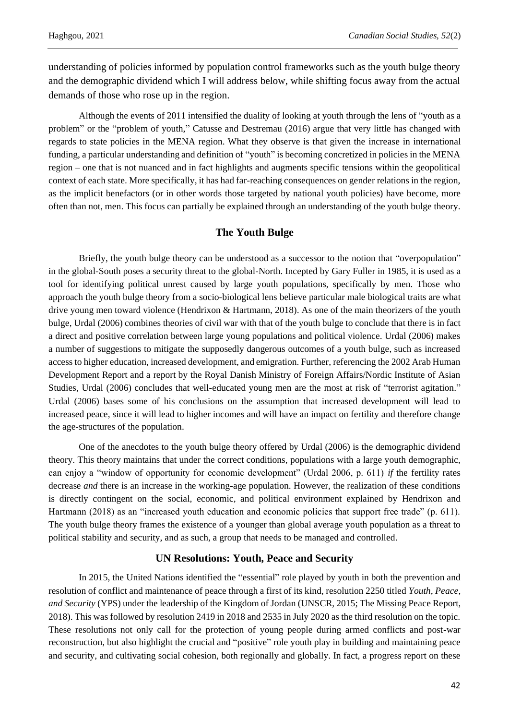understanding of policies informed by population control frameworks such as the youth bulge theory and the demographic dividend which I will address below, while shifting focus away from the actual demands of those who rose up in the region.

Although the events of 2011 intensified the duality of looking at youth through the lens of "youth as a problem" or the "problem of youth," Catusse and Destremau (2016) argue that very little has changed with regards to state policies in the MENA region. What they observe is that given the increase in international funding, a particular understanding and definition of "youth" is becoming concretized in policies in the MENA region – one that is not nuanced and in fact highlights and augments specific tensions within the geopolitical context of each state. More specifically, it has had far-reaching consequences on gender relations in the region, as the implicit benefactors (or in other words those targeted by national youth policies) have become, more often than not, men. This focus can partially be explained through an understanding of the youth bulge theory.

### **The Youth Bulge**

Briefly, the youth bulge theory can be understood as a successor to the notion that "overpopulation" in the global-South poses a security threat to the global-North. Incepted by Gary Fuller in 1985, it is used as a tool for identifying political unrest caused by large youth populations, specifically by men. Those who approach the youth bulge theory from a socio-biological lens believe particular male biological traits are what drive young men toward violence (Hendrixon & Hartmann, 2018). As one of the main theorizers of the youth bulge, Urdal (2006) combines theories of civil war with that of the youth bulge to conclude that there is in fact a direct and positive correlation between large young populations and political violence. Urdal (2006) makes a number of suggestions to mitigate the supposedly dangerous outcomes of a youth bulge, such as increased access to higher education, increased development, and emigration. Further, referencing the 2002 Arab Human Development Report and a report by the Royal Danish Ministry of Foreign Affairs/Nordic Institute of Asian Studies, Urdal (2006) concludes that well-educated young men are the most at risk of "terrorist agitation." Urdal (2006) bases some of his conclusions on the assumption that increased development will lead to increased peace, since it will lead to higher incomes and will have an impact on fertility and therefore change the age-structures of the population.

One of the anecdotes to the youth bulge theory offered by Urdal (2006) is the demographic dividend theory. This theory maintains that under the correct conditions, populations with a large youth demographic, can enjoy a "window of opportunity for economic development" (Urdal 2006, p. 611) *if* the fertility rates decrease *and* there is an increase in the working-age population. However, the realization of these conditions is directly contingent on the social, economic, and political environment explained by Hendrixon and Hartmann (2018) as an "increased youth education and economic policies that support free trade" (p. 611). The youth bulge theory frames the existence of a younger than global average youth population as a threat to political stability and security, and as such, a group that needs to be managed and controlled.

#### **UN Resolutions: Youth, Peace and Security**

In 2015, the United Nations identified the "essential" role played by youth in both the prevention and resolution of conflict and maintenance of peace through a first of its kind, resolution 2250 titled *Youth, Peace, and Security* (YPS) under the leadership of the Kingdom of Jordan (UNSCR, 2015; The Missing Peace Report, 2018). This was followed by resolution 2419 in 2018 and 2535 in July 2020 as the third resolution on the topic. These resolutions not only call for the protection of young people during armed conflicts and post-war reconstruction, but also highlight the crucial and "positive" role youth play in building and maintaining peace and security, and cultivating social cohesion, both regionally and globally. In fact, a progress report on these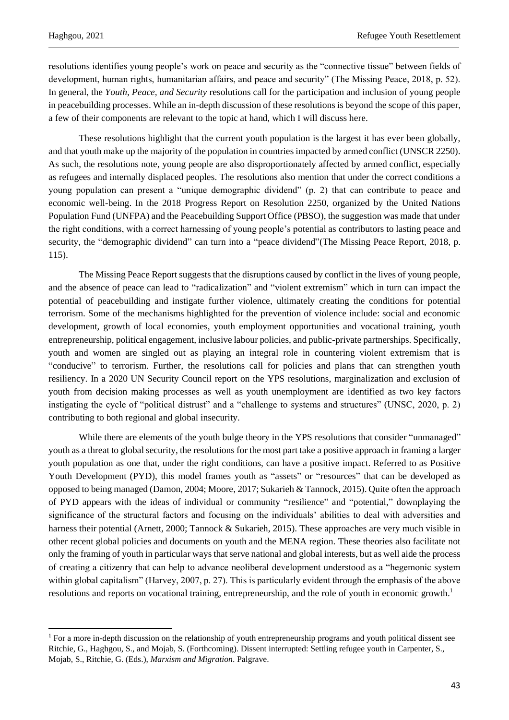resolutions identifies young people's work on peace and security as the "connective tissue" between fields of development, human rights, humanitarian affairs, and peace and security" (The Missing Peace, 2018, p. 52). In general, the *Youth, Peace, and Security* resolutions call for the participation and inclusion of young people in peacebuilding processes. While an in-depth discussion of these resolutions is beyond the scope of this paper, a few of their components are relevant to the topic at hand, which I will discuss here.

These resolutions highlight that the current youth population is the largest it has ever been globally, and that youth make up the majority of the population in countries impacted by armed conflict (UNSCR 2250). As such, the resolutions note, young people are also disproportionately affected by armed conflict, especially as refugees and internally displaced peoples. The resolutions also mention that under the correct conditions a young population can present a "unique demographic dividend" (p. 2) that can contribute to peace and economic well-being. In the 2018 Progress Report on Resolution 2250, organized by the United Nations Population Fund (UNFPA) and the Peacebuilding Support Office (PBSO), the suggestion was made that under the right conditions, with a correct harnessing of young people's potential as contributors to lasting peace and security, the "demographic dividend" can turn into a "peace dividend"(The Missing Peace Report, 2018, p. 115).

The Missing Peace Report suggests that the disruptions caused by conflict in the lives of young people, and the absence of peace can lead to "radicalization" and "violent extremism" which in turn can impact the potential of peacebuilding and instigate further violence, ultimately creating the conditions for potential terrorism. Some of the mechanisms highlighted for the prevention of violence include: social and economic development, growth of local economies, youth employment opportunities and vocational training, youth entrepreneurship, political engagement, inclusive labour policies, and public-private partnerships. Specifically, youth and women are singled out as playing an integral role in countering violent extremism that is "conducive" to terrorism. Further, the resolutions call for policies and plans that can strengthen youth resiliency. In a 2020 UN Security Council report on the YPS resolutions, marginalization and exclusion of youth from decision making processes as well as youth unemployment are identified as two key factors instigating the cycle of "political distrust" and a "challenge to systems and structures" (UNSC, 2020, p. 2) contributing to both regional and global insecurity.

While there are elements of the youth bulge theory in the YPS resolutions that consider "unmanaged" youth as a threat to global security, the resolutions for the most part take a positive approach in framing a larger youth population as one that, under the right conditions, can have a positive impact. Referred to as Positive Youth Development (PYD), this model frames youth as "assets" or "resources" that can be developed as opposed to being managed (Damon, 2004; Moore, 2017; Sukarieh & Tannock, 2015). Quite often the approach of PYD appears with the ideas of individual or community "resilience" and "potential," downplaying the significance of the structural factors and focusing on the individuals' abilities to deal with adversities and harness their potential (Arnett, 2000; Tannock & Sukarieh, 2015). These approaches are very much visible in other recent global policies and documents on youth and the MENA region. These theories also facilitate not only the framing of youth in particular ways that serve national and global interests, but as well aide the process of creating a citizenry that can help to advance neoliberal development understood as a "hegemonic system within global capitalism" (Harvey, 2007, p. 27). This is particularly evident through the emphasis of the above resolutions and reports on vocational training, entrepreneurship, and the role of youth in economic growth.<sup>1</sup>

<sup>&</sup>lt;sup>1</sup> For a more in-depth discussion on the relationship of youth entrepreneurship programs and youth political dissent see Ritchie, G., Haghgou, S., and Mojab, S. (Forthcoming). Dissent interrupted: Settling refugee youth in Carpenter, S., Mojab, S., Ritchie, G. (Eds.), *Marxism and Migration*. Palgrave.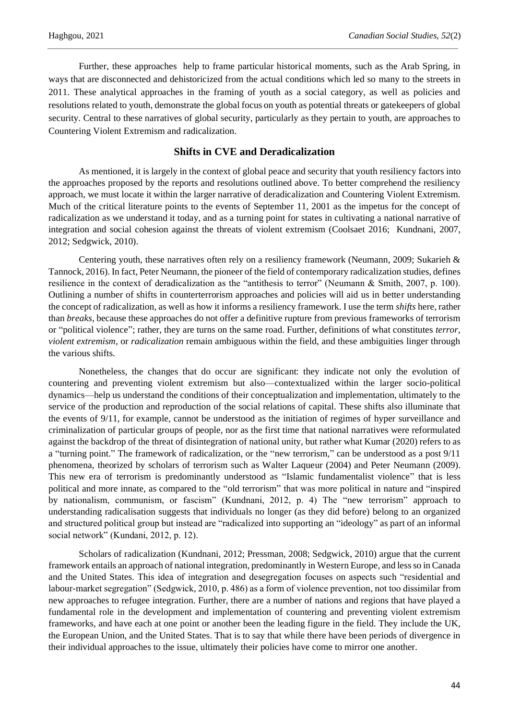Further, these approaches help to frame particular historical moments, such as the Arab Spring, in ways that are disconnected and dehistoricized from the actual conditions which led so many to the streets in 2011. These analytical approaches in the framing of youth as a social category, as well as policies and resolutions related to youth, demonstrate the global focus on youth as potential threats or gatekeepers of global security. Central to these narratives of global security, particularly as they pertain to youth, are approaches to Countering Violent Extremism and radicalization.

#### **Shifts in CVE and Deradicalization**

As mentioned, it is largely in the context of global peace and security that youth resiliency factors into the approaches proposed by the reports and resolutions outlined above. To better comprehend the resiliency approach, we must locate it within the larger narrative of deradicalization and Countering Violent Extremism. Much of the critical literature points to the events of September 11, 2001 as the impetus for the concept of radicalization as we understand it today, and as a turning point for states in cultivating a national narrative of integration and social cohesion against the threats of violent extremism (Coolsaet 2016; Kundnani, 2007, 2012; Sedgwick, 2010).

Centering youth, these narratives often rely on a resiliency framework (Neumann, 2009; Sukarieh & Tannock, 2016). In fact, Peter Neumann, the pioneer of the field of contemporary radicalization studies, defines resilience in the context of deradicalization as the "antithesis to terror" (Neumann & Smith, 2007, p. 100). Outlining a number of shifts in counterterrorism approaches and policies will aid us in better understanding the concept of radicalization, as well as how it informs a resiliency framework. I use the term *shifts* here, rather than *breaks*, because these approaches do not offer a definitive rupture from previous frameworks of terrorism or "political violence"; rather, they are turns on the same road. Further, definitions of what constitutes *terror*, *violent extremism*, or *radicalization* remain ambiguous within the field, and these ambiguities linger through the various shifts.

Nonetheless, the changes that do occur are significant: they indicate not only the evolution of countering and preventing violent extremism but also—contextualized within the larger socio-political dynamics—help us understand the conditions of their conceptualization and implementation, ultimately to the service of the production and reproduction of the social relations of capital. These shifts also illuminate that the events of 9/11, for example, cannot be understood as the initiation of regimes of hyper surveillance and criminalization of particular groups of people, nor as the first time that national narratives were reformulated against the backdrop of the threat of disintegration of national unity, but rather what Kumar (2020) refers to as a "turning point." The framework of radicalization, or the "new terrorism," can be understood as a post 9/11 phenomena, theorized by scholars of terrorism such as Walter Laqueur (2004) and Peter Neumann (2009). This new era of terrorism is predominantly understood as "Islamic fundamentalist violence" that is less political and more innate, as compared to the "old terrorism" that was more political in nature and "inspired by nationalism, communism, or fascism" (Kundnani, 2012, p. 4) The "new terrorism" approach to understanding radicalisation suggests that individuals no longer (as they did before) belong to an organized and structured political group but instead are "radicalized into supporting an "ideology" as part of an informal social network" (Kundani, 2012, p. 12).

Scholars of radicalization (Kundnani, 2012; Pressman, 2008; Sedgwick, 2010) argue that the current framework entails an approach of national integration, predominantly in Western Europe, and less so in Canada and the United States. This idea of integration and desegregation focuses on aspects such "residential and labour-market segregation" (Sedgwick, 2010, p. 486) as a form of violence prevention, not too dissimilar from new approaches to refugee integration. Further, there are a number of nations and regions that have played a fundamental role in the development and implementation of countering and preventing violent extremism frameworks, and have each at one point or another been the leading figure in the field. They include the UK, the European Union, and the United States. That is to say that while there have been periods of divergence in their individual approaches to the issue, ultimately their policies have come to mirror one another.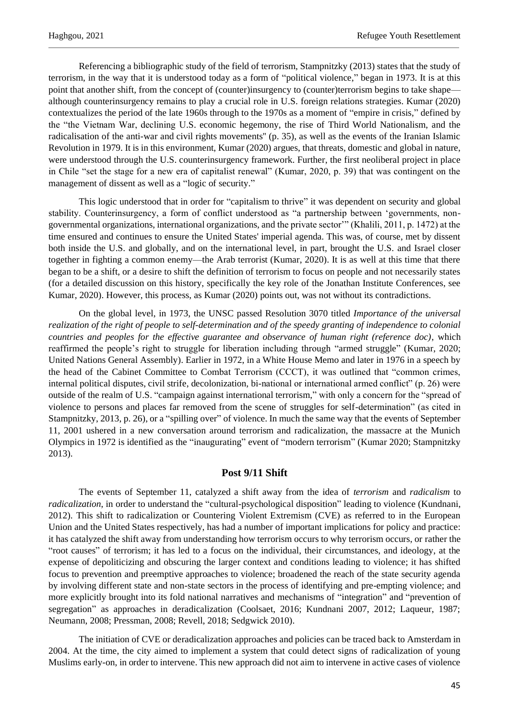Referencing a bibliographic study of the field of terrorism, Stampnitzky (2013) states that the study of terrorism, in the way that it is understood today as a form of "political violence," began in 1973. It is at this point that another shift, from the concept of (counter)insurgency to (counter)terrorism begins to take shape although counterinsurgency remains to play a crucial role in U.S. foreign relations strategies. Kumar (2020) contextualizes the period of the late 1960s through to the 1970s as a moment of "empire in crisis," defined by the "the Vietnam War, declining U.S. economic hegemony, the rise of Third World Nationalism, and the radicalisation of the anti-war and civil rights movements'' (p. 35), as well as the events of the Iranian Islamic Revolution in 1979. It is in this environment, Kumar (2020) argues, that threats, domestic and global in nature, were understood through the U.S. counterinsurgency framework. Further, the first neoliberal project in place in Chile "set the stage for a new era of capitalist renewal" (Kumar, 2020, p. 39) that was contingent on the management of dissent as well as a "logic of security."

This logic understood that in order for "capitalism to thrive" it was dependent on security and global stability. Counterinsurgency, a form of conflict understood as "a partnership between 'governments, nongovernmental organizations, international organizations, and the private sector'" (Khalili, 2011, p. 1472) at the time ensured and continues to ensure the United States' imperial agenda. This was, of course, met by dissent both inside the U.S. and globally, and on the international level, in part, brought the U.S. and Israel closer together in fighting a common enemy—the Arab terrorist (Kumar, 2020). It is as well at this time that there began to be a shift, or a desire to shift the definition of terrorism to focus on people and not necessarily states (for a detailed discussion on this history, specifically the key role of the Jonathan Institute Conferences, see Kumar, 2020). However, this process, as Kumar (2020) points out, was not without its contradictions.

On the global level, in 1973, the UNSC passed Resolution 3070 titled *Importance of the universal realization of the right of people to self-determination and of the speedy granting of independence to colonial countries and peoples for the effective guarantee and observance of human right (reference doc)*, which reaffirmed the people's right to struggle for liberation including through "armed struggle" (Kumar, 2020; United Nations General Assembly). Earlier in 1972, in a White House Memo and later in 1976 in a speech by the head of the Cabinet Committee to Combat Terrorism (CCCT), it was outlined that "common crimes, internal political disputes, civil strife, decolonization, bi-national or international armed conflict" (p. 26) were outside of the realm of U.S. "campaign against international terrorism," with only a concern for the "spread of violence to persons and places far removed from the scene of struggles for self-determination" (as cited in Stampnitzky, 2013, p. 26), or a "spilling over" of violence. In much the same way that the events of September 11, 2001 ushered in a new conversation around terrorism and radicalization, the massacre at the Munich Olympics in 1972 is identified as the "inaugurating" event of "modern terrorism" (Kumar 2020; Stampnitzky 2013).

# **Post 9/11 Shift**

The events of September 11, catalyzed a shift away from the idea of *terrorism* and *radicalism* to *radicalization*, in order to understand the "cultural-psychological disposition" leading to violence (Kundnani, 2012). This shift to radicalization or Countering Violent Extremism (CVE) as referred to in the European Union and the United States respectively, has had a number of important implications for policy and practice: it has catalyzed the shift away from understanding how terrorism occurs to why terrorism occurs, or rather the "root causes" of terrorism; it has led to a focus on the individual, their circumstances, and ideology, at the expense of depoliticizing and obscuring the larger context and conditions leading to violence; it has shifted focus to prevention and preemptive approaches to violence; broadened the reach of the state security agenda by involving different state and non-state sectors in the process of identifying and pre-empting violence; and more explicitly brought into its fold national narratives and mechanisms of "integration" and "prevention of segregation" as approaches in deradicalization (Coolsaet, 2016; Kundnani 2007, 2012; Laqueur, 1987; Neumann, 2008; Pressman, 2008; Revell, 2018; Sedgwick 2010).

The initiation of CVE or deradicalization approaches and policies can be traced back to Amsterdam in 2004. At the time, the city aimed to implement a system that could detect signs of radicalization of young Muslims early-on, in order to intervene. This new approach did not aim to intervene in active cases of violence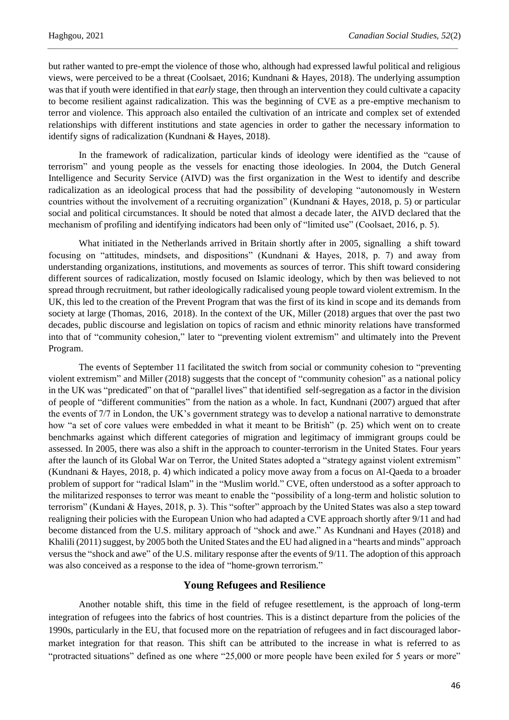but rather wanted to pre-empt the violence of those who, although had expressed lawful political and religious views, were perceived to be a threat (Coolsaet, 2016; Kundnani & Hayes, 2018). The underlying assumption was that if youth were identified in that *early* stage, then through an intervention they could cultivate a capacity to become resilient against radicalization. This was the beginning of CVE as a pre-emptive mechanism to terror and violence. This approach also entailed the cultivation of an intricate and complex set of extended relationships with different institutions and state agencies in order to gather the necessary information to identify signs of radicalization (Kundnani & Hayes, 2018).

In the framework of radicalization, particular kinds of ideology were identified as the "cause of terrorism" and young people as the vessels for enacting those ideologies. In 2004, the Dutch General Intelligence and Security Service (AIVD) was the first organization in the West to identify and describe radicalization as an ideological process that had the possibility of developing "autonomously in Western countries without the involvement of a recruiting organization" (Kundnani & Hayes, 2018, p. 5) or particular social and political circumstances. It should be noted that almost a decade later, the AIVD declared that the mechanism of profiling and identifying indicators had been only of "limited use" (Coolsaet, 2016, p. 5).

What initiated in the Netherlands arrived in Britain shortly after in 2005, signalling a shift toward focusing on "attitudes, mindsets, and dispositions" (Kundnani & Hayes, 2018, p. 7) and away from understanding organizations, institutions, and movements as sources of terror. This shift toward considering different sources of radicalization, mostly focused on Islamic ideology, which by then was believed to not spread through recruitment, but rather ideologically radicalised young people toward violent extremism. In the UK, this led to the creation of the Prevent Program that was the first of its kind in scope and its demands from society at large (Thomas, 2016, 2018). In the context of the UK, Miller (2018) argues that over the past two decades, public discourse and legislation on topics of racism and ethnic minority relations have transformed into that of "community cohesion," later to "preventing violent extremism" and ultimately into the Prevent Program.

The events of September 11 facilitated the switch from social or community cohesion to "preventing violent extremism" and Miller (2018) suggests that the concept of "community cohesion" as a national policy in the UK was "predicated" on that of "parallel lives" that identified self-segregation as a factor in the division of people of "different communities" from the nation as a whole. In fact, Kundnani (2007) argued that after the events of 7/7 in London, the UK's government strategy was to develop a national narrative to demonstrate how "a set of core values were embedded in what it meant to be British" (p. 25) which went on to create benchmarks against which different categories of migration and legitimacy of immigrant groups could be assessed. In 2005, there was also a shift in the approach to counter-terrorism in the United States. Four years after the launch of its Global War on Terror, the United States adopted a "strategy against violent extremism" (Kundnani & Hayes, 2018, p. 4) which indicated a policy move away from a focus on Al-Qaeda to a broader problem of support for "radical Islam" in the "Muslim world." CVE, often understood as a softer approach to the militarized responses to terror was meant to enable the "possibility of a long-term and holistic solution to terrorism" (Kundani & Hayes, 2018, p. 3). This "softer" approach by the United States was also a step toward realigning their policies with the European Union who had adapted a CVE approach shortly after 9/11 and had become distanced from the U.S. military approach of "shock and awe." As Kundnani and Hayes (2018) and Khalili (2011) suggest, by 2005 both the United States and the EU had aligned in a "hearts and minds" approach versus the "shock and awe" of the U.S. military response after the events of 9/11. The adoption of this approach was also conceived as a response to the idea of "home-grown terrorism."

#### **Young Refugees and Resilience**

Another notable shift, this time in the field of refugee resettlement, is the approach of long-term integration of refugees into the fabrics of host countries. This is a distinct departure from the policies of the 1990s, particularly in the EU, that focused more on the repatriation of refugees and in fact discouraged labormarket integration for that reason. This shift can be attributed to the increase in what is referred to as "protracted situations" defined as one where "25,000 or more people have been exiled for 5 years or more"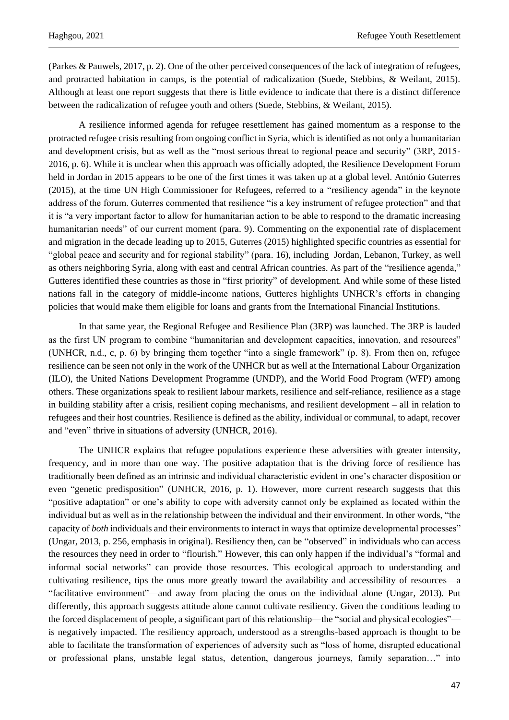(Parkes & Pauwels, 2017, p. 2). One of the other perceived consequences of the lack of integration of refugees, and protracted habitation in camps, is the potential of radicalization (Suede, Stebbins, & Weilant, 2015). Although at least one report suggests that there is little evidence to indicate that there is a distinct difference between the radicalization of refugee youth and others (Suede, Stebbins, & Weilant, 2015).

A resilience informed agenda for refugee resettlement has gained momentum as a response to the protracted refugee crisis resulting from ongoing conflict in Syria, which is identified as not only a humanitarian and development crisis, but as well as the "most serious threat to regional peace and security" (3RP, 2015- 2016, p. 6). While it is unclear when this approach was officially adopted, the Resilience Development Forum held in Jordan in 2015 appears to be one of the first times it was taken up at a global level. António Guterres (2015), at the time UN High Commissioner for Refugees, referred to a "resiliency agenda" in the keynote address of the forum. Guterres commented that resilience "is a key instrument of refugee protection" and that it is "a very important factor to allow for humanitarian action to be able to respond to the dramatic increasing humanitarian needs" of our current moment (para. 9). Commenting on the exponential rate of displacement and migration in the decade leading up to 2015, Guterres (2015) highlighted specific countries as essential for "global peace and security and for regional stability" (para. 16), including Jordan, Lebanon, Turkey, as well as others neighboring Syria, along with east and central African countries. As part of the "resilience agenda," Gutteres identified these countries as those in "first priority" of development. And while some of these listed nations fall in the category of middle-income nations, Gutteres highlights UNHCR's efforts in changing policies that would make them eligible for loans and grants from the International Financial Institutions.

In that same year, the Regional Refugee and Resilience Plan (3RP) was launched. The 3RP is lauded as the first UN program to combine "humanitarian and development capacities, innovation, and resources" (UNHCR, n.d., c, p. 6) by bringing them together "into a single framework" (p. 8). From then on, refugee resilience can be seen not only in the work of the UNHCR but as well at the International Labour Organization (ILO), the United Nations Development Programme (UNDP), and the World Food Program (WFP) among others. These organizations speak to resilient labour markets, resilience and self-reliance, resilience as a stage in building stability after a crisis, resilient coping mechanisms, and resilient development – all in relation to refugees and their host countries. Resilience is defined as the ability, individual or communal, to adapt, recover and "even" thrive in situations of adversity (UNHCR, 2016).

The UNHCR explains that refugee populations experience these adversities with greater intensity, frequency, and in more than one way. The positive adaptation that is the driving force of resilience has traditionally been defined as an intrinsic and individual characteristic evident in one's character disposition or even "genetic predisposition" (UNHCR, 2016, p. 1). However, more current research suggests that this "positive adaptation" or one's ability to cope with adversity cannot only be explained as located within the individual but as well as in the relationship between the individual and their environment. In other words, "the capacity of *both* individuals and their environments to interact in ways that optimize developmental processes" (Ungar, 2013, p. 256, emphasis in original). Resiliency then, can be "observed" in individuals who can access the resources they need in order to "flourish." However, this can only happen if the individual's "formal and informal social networks" can provide those resources. This ecological approach to understanding and cultivating resilience, tips the onus more greatly toward the availability and accessibility of resources—a "facilitative environment"—and away from placing the onus on the individual alone (Ungar, 2013). Put differently, this approach suggests attitude alone cannot cultivate resiliency. Given the conditions leading to the forced displacement of people, a significant part of this relationship—the "social and physical ecologies" is negatively impacted. The resiliency approach, understood as a strengths-based approach is thought to be able to facilitate the transformation of experiences of adversity such as "loss of home, disrupted educational or professional plans, unstable legal status, detention, dangerous journeys, family separation…" into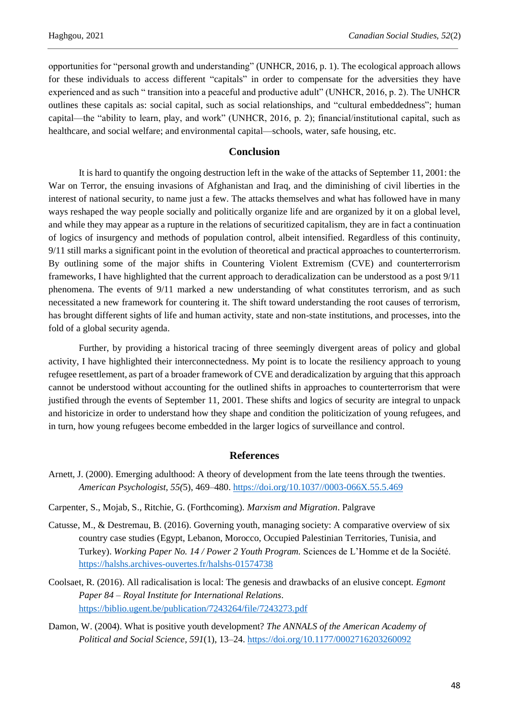opportunities for "personal growth and understanding" (UNHCR, 2016, p. 1). The ecological approach allows for these individuals to access different "capitals" in order to compensate for the adversities they have experienced and as such " transition into a peaceful and productive adult" (UNHCR, 2016, p. 2). The UNHCR outlines these capitals as: social capital, such as social relationships, and "cultural embeddedness"; human capital—the "ability to learn, play, and work" (UNHCR, 2016, p. 2); financial/institutional capital, such as healthcare, and social welfare; and environmental capital—schools, water, safe housing, etc.

# **Conclusion**

It is hard to quantify the ongoing destruction left in the wake of the attacks of September 11, 2001: the War on Terror, the ensuing invasions of Afghanistan and Iraq, and the diminishing of civil liberties in the interest of national security, to name just a few. The attacks themselves and what has followed have in many ways reshaped the way people socially and politically organize life and are organized by it on a global level, and while they may appear as a rupture in the relations of securitized capitalism, they are in fact a continuation of logics of insurgency and methods of population control, albeit intensified. Regardless of this continuity, 9/11 still marks a significant point in the evolution of theoretical and practical approaches to counterterrorism. By outlining some of the major shifts in Countering Violent Extremism (CVE) and counterterrorism frameworks, I have highlighted that the current approach to deradicalization can be understood as a post 9/11 phenomena. The events of 9/11 marked a new understanding of what constitutes terrorism, and as such necessitated a new framework for countering it. The shift toward understanding the root causes of terrorism, has brought different sights of life and human activity, state and non-state institutions, and processes, into the fold of a global security agenda.

Further, by providing a historical tracing of three seemingly divergent areas of policy and global activity, I have highlighted their interconnectedness. My point is to locate the resiliency approach to young refugee resettlement, as part of a broader framework of CVE and deradicalization by arguing that this approach cannot be understood without accounting for the outlined shifts in approaches to counterterrorism that were justified through the events of September 11, 2001. These shifts and logics of security are integral to unpack and historicize in order to understand how they shape and condition the politicization of young refugees, and in turn, how young refugees become embedded in the larger logics of surveillance and control.

# **References**

- Arnett, J. (2000). Emerging adulthood: A theory of development from the late teens through the twenties. *American Psychologist, 55(*5), 469–480[. https://doi.org/10.1037//0003-066X.55.5.469](https://doi.org/10.1037/0003-066X.55.5.469)
- Carpenter, S., Mojab, S., Ritchie, G. (Forthcoming). *Marxism and Migration*. Palgrave
- Catusse, M., & Destremau, B. (2016). Governing youth, managing society: A comparative overview of six country case studies (Egypt, Lebanon, Morocco, Occupied Palestinian Territories, Tunisia, and Turkey). *Working Paper No. 14 / Power 2 Youth Program.* Sciences de L'Homme et de la Société. <https://halshs.archives-ouvertes.fr/halshs-01574738>
- Coolsaet, R. (2016). All radicalisation is local: The genesis and drawbacks of an elusive concept. *Egmont Paper 84 – Royal Institute for International Relations*. <https://biblio.ugent.be/publication/7243264/file/7243273.pdf>
- Damon, W. (2004). What is positive youth development? *The ANNALS of the American Academy of Political and Social Science, 591*(1), 13–24.<https://doi.org/10.1177/0002716203260092>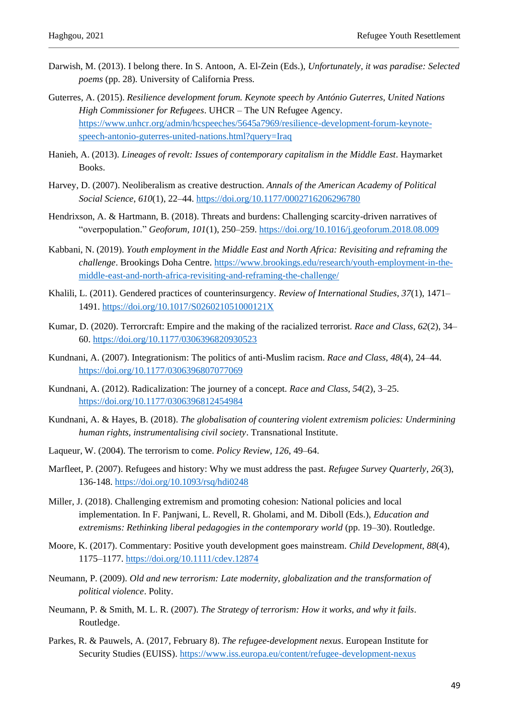- Darwish, M. (2013). I belong there. In S. Antoon, A. El-Zein (Eds.), *Unfortunately, it was paradise: Selected poems* (pp. 28)*.* University of California Press*.*
- Guterres, A. (2015). *Resilience development forum. Keynote speech by António Guterres, United Nations High Commissioner for Refugees*. UHCR – The UN Refugee Agency. [https://www.unhcr.org/admin/hcspeeches/5645a7969/resilience-development-forum-keynote](https://www.unhcr.org/admin/hcspeeches/5645a7969/resilience-development-forum-keynote-speech-antonio-guterres-united-nations.html?query=Iraq)[speech-antonio-guterres-united-nations.html?query=Iraq](https://www.unhcr.org/admin/hcspeeches/5645a7969/resilience-development-forum-keynote-speech-antonio-guterres-united-nations.html?query=Iraq)
- Hanieh, A. (2013). *Lineages of revolt: Issues of contemporary capitalism in the Middle East*. Haymarket Books.
- Harvey, D. (2007). Neoliberalism as creative destruction. *Annals of the American Academy of Political Social Science*, *610*(1), 22–44. <https://doi.org/10.1177/0002716206296780>
- Hendrixson, A. & Hartmann, B. (2018). Threats and burdens: Challenging scarcity-driven narratives of "overpopulation." *Geoforum, 101*(1), 250–259. <https://doi.org/10.1016/j.geoforum.2018.08.009>
- Kabbani, N. (2019). *Youth employment in the Middle East and North Africa: Revisiting and reframing the challenge*. Brookings Doha Centre[. https://www.brookings.edu/research/youth-employment-in-the](https://www.brookings.edu/research/youth-employment-in-the-middle-east-and-north-africa-revisiting-and-reframing-the-challenge/)[middle-east-and-north-africa-revisiting-and-reframing-the-challenge/](https://www.brookings.edu/research/youth-employment-in-the-middle-east-and-north-africa-revisiting-and-reframing-the-challenge/)
- Khalili, L. (2011). Gendered practices of counterinsurgency. *Review of International Studies*, *37*(1), 1471– 1491. <https://doi.org/10.1017/S026021051000121X>
- Kumar, D. (2020). Terrorcraft: Empire and the making of the racialized terrorist. *Race and Class*, *62*(2), 34– 60[. https://doi.org/10.1177/0306396820930523](https://doi.org/10.1177/0306396820930523)
- Kundnani, A. (2007). Integrationism: The politics of anti-Muslim racism. *Race and Class*, *48*(4), 24–44. <https://doi.org/10.1177/0306396807077069>
- Kundnani, A. (2012). Radicalization: The journey of a concept. *Race and Class*, *54*(2), 3–25. <https://doi.org/10.1177/0306396812454984>
- Kundnani, A. & Hayes, B. (2018). *The globalisation of countering violent extremism policies: Undermining human rights, instrumentalising civil society*. Transnational Institute.
- Laqueur, W. (2004). The terrorism to come. *Policy Review, 126*, 49–64.
- Marfleet, P. (2007). Refugees and history: Why we must address the past. *Refugee Survey Quarterly*, *26*(3), 136-148. <https://doi.org/10.1093/rsq/hdi0248>
- Miller, J. (2018). Challenging extremism and promoting cohesion: National policies and local implementation. In F. Panjwani, L. Revell, R. Gholami, and M. Diboll (Eds.), *Education and extremisms: Rethinking liberal pedagogies in the contemporary world* (pp. 19–30). Routledge.
- Moore, K. (2017). Commentary: Positive youth development goes mainstream. *Child Development*, *88*(4), 1175–1177. <https://doi.org/10.1111/cdev.12874>
- Neumann, P. (2009). *Old and new terrorism: Late modernity, globalization and the transformation of political violence*. Polity.
- Neumann, P. & Smith, M. L. R. (2007). *The Strategy of terrorism: How it works, and why it fails*. Routledge.
- Parkes, R. & Pauwels, A. (2017, February 8). *The refugee-development nexus*. European Institute for Security Studies (EUISS).<https://www.iss.europa.eu/content/refugee-development-nexus>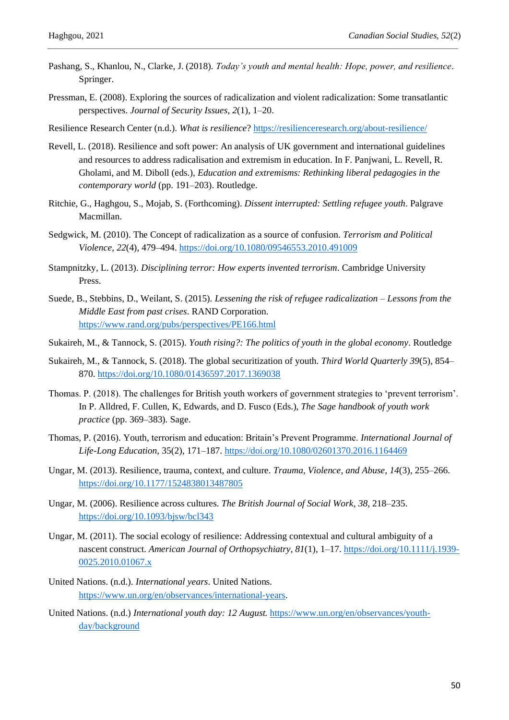- Pashang, S., Khanlou, N., Clarke, J. (2018). *Today's youth and mental health: Hope, power, and resilience*. Springer.
- Pressman, E. (2008). Exploring the sources of radicalization and violent radicalization: Some transatlantic perspectives. *Journal of Security Issues*, *2*(1), 1–20.
- Resilience Research Center (n.d.). *What is resilience*? <https://resilienceresearch.org/about-resilience/>
- Revell, L. (2018). Resilience and soft power: An analysis of UK government and international guidelines and resources to address radicalisation and extremism in education. In F. Panjwani, L. Revell, R. Gholami, and M. Diboll (eds.), *Education and extremisms: Rethinking liberal pedagogies in the contemporary world* (pp. 191–203). Routledge.
- Ritchie, G., Haghgou, S., Mojab, S. (Forthcoming). *Dissent interrupted: Settling refugee youth*. Palgrave Macmillan.
- Sedgwick, M. (2010). The Concept of radicalization as a source of confusion. *Terrorism and Political Violence*, *22*(4), 479–494[. https://doi.org/10.1080/09546553.2010.491009](https://doi.org/10.1080/09546553.2010.491009)
- Stampnitzky, L. (2013). *Disciplining terror: How experts invented terrorism*. Cambridge University Press.
- Suede, B., Stebbins, D., Weilant, S. (2015). *Lessening the risk of refugee radicalization Lessons from the Middle East from past crises*. RAND Corporation. <https://www.rand.org/pubs/perspectives/PE166.html>
- Sukaireh, M., & Tannock, S. (2015). *Youth rising?: The politics of youth in the global economy*. Routledge
- Sukaireh, M., & Tannock, S. (2018). The global securitization of youth. *Third World Quarterly 39*(5), 854– 870. <https://doi.org/10.1080/01436597.2017.1369038>
- Thomas. P. (2018). The challenges for British youth workers of government strategies to 'prevent terrorism'. In P. Alldred, F. Cullen, K, Edwards, and D. Fusco (Eds.), *The Sage handbook of youth work practice* (pp. 369–383)*.* Sage.
- Thomas, P. (2016). Youth, terrorism and education: Britain's Prevent Programme. *International Journal of Life-Long Education*, 35(2), 171–187[. https://doi.org/10.1080/02601370.2016.1164469](https://doi.org/10.1080/02601370.2016.1164469)
- Ungar, M. (2013). Resilience, trauma, context, and culture. *Trauma, Violence, and Abuse*, *14*(3), 255–266. <https://doi.org/10.1177/1524838013487805>
- Ungar, M. (2006). Resilience across cultures. *The British Journal of Social Work, 38*, 218–235. <https://doi.org/10.1093/bjsw/bcl343>
- Ungar, M. (2011). The social ecology of resilience: Addressing contextual and cultural ambiguity of a nascent construct. *American Journal of Orthopsychiatry*, *81*(1), 1–17. [https://doi.org/10.1111/j.1939-](https://doi.org/10.1111/j.1939-0025.2010.01067.x) [0025.2010.01067.x](https://doi.org/10.1111/j.1939-0025.2010.01067.x)
- United Nations. (n.d.). *International years*. United Nations. [https://www.un.org/en/observances/international-years.](https://www.un.org/en/observances/international-years)
- United Nations. (n.d.) *International youth day: 12 August.* [https://www.un.org/en/observances/youth](https://www.un.org/en/observances/youth-day/background)[day/background](https://www.un.org/en/observances/youth-day/background)